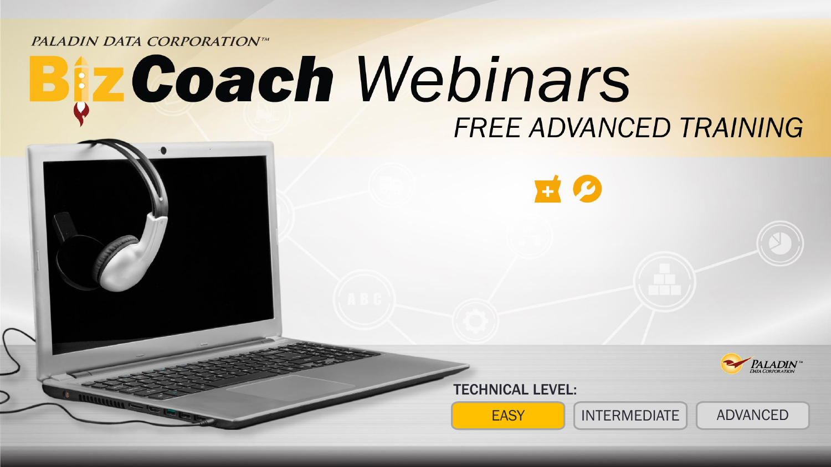PALADIN DATA CORPORATIONTM

# ta Coach Webinars FREE ADVANCED TRAINING





TECHNICAL LEVEL:

EASY INTERMEDIATE ADVANCED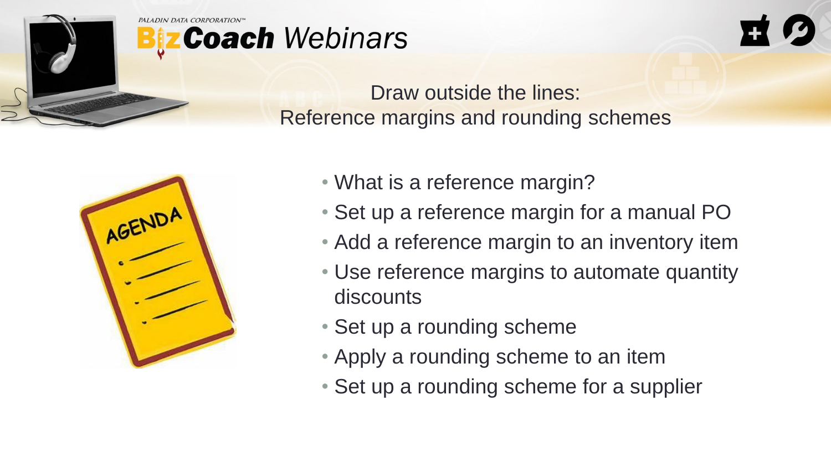

# **Coach** Webinars



Draw outside the lines: Reference margins and rounding schemes



- What is a reference margin?
- Set up a reference margin for a manual PO
- Add a reference margin to an inventory item
- Use reference margins to automate quantity discounts
- Set up a rounding scheme
- Apply a rounding scheme to an item
- Set up a rounding scheme for a supplier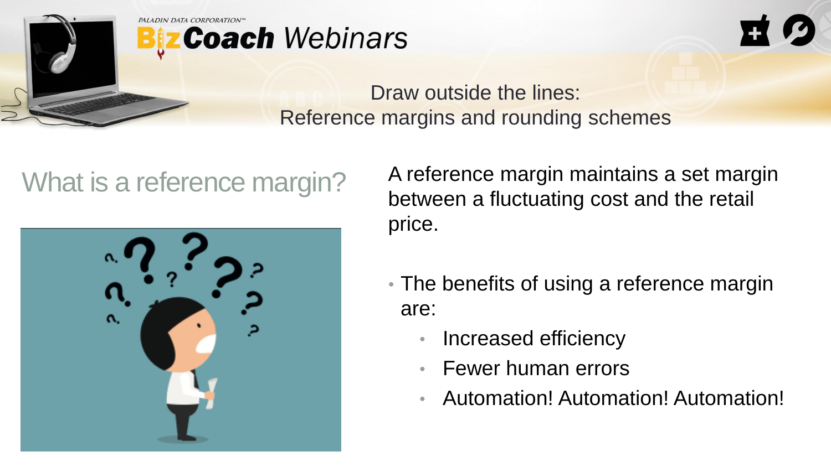





What is a reference margin? A reference margin maintains a set margin between a fluctuating cost and the retail price.

- The benefits of using a reference margin are:
	- Increased efficiency
	- Fewer human errors
	- Automation! Automation! Automation!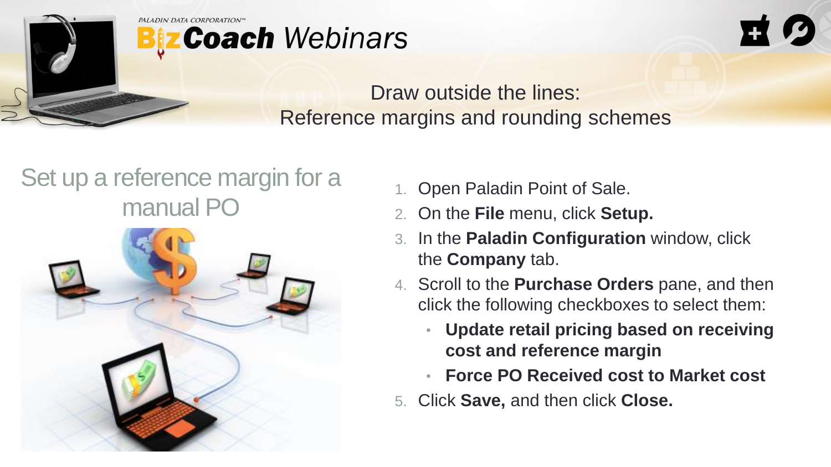



#### Set up a reference margin for a manual PO



- 1. Open Paladin Point of Sale.
- 2. On the **File** menu, click **Setup.**
- 3. In the **Paladin Configuration** window, click the **Company** tab.
- 4. Scroll to the **Purchase Orders** pane, and then click the following checkboxes to select them:
	- **Update retail pricing based on receiving cost and reference margin**
	- **Force PO Received cost to Market cost**
- 5. Click **Save,** and then click **Close.**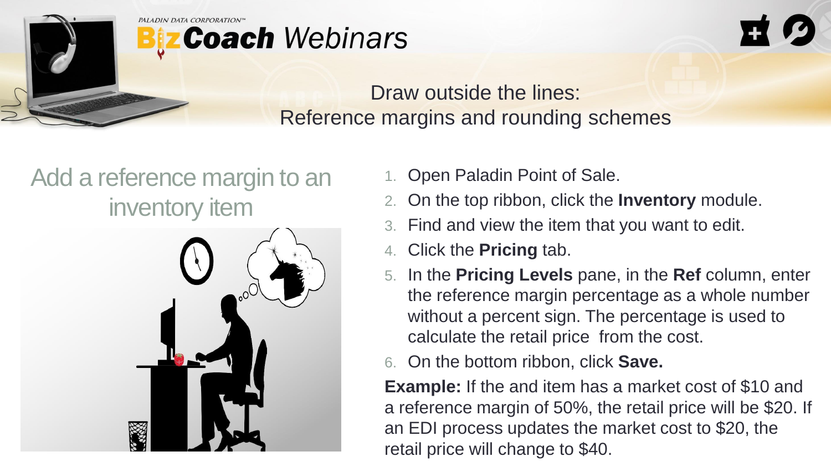



### Add a reference margin to an inventory item



- 1. Open Paladin Point of Sale.
- 2. On the top ribbon, click the **Inventory** module.
- 3. Find and view the item that you want to edit.
- 4. Click the **Pricing** tab.
- 5. In the **Pricing Levels** pane, in the **Ref** column, enter the reference margin percentage as a whole number without a percent sign. The percentage is used to calculate the retail price from the cost.
- 6. On the bottom ribbon, click **Save.**

**Example:** If the and item has a market cost of \$10 and a reference margin of 50%, the retail price will be \$20. If an EDI process updates the market cost to \$20, the retail price will change to \$40.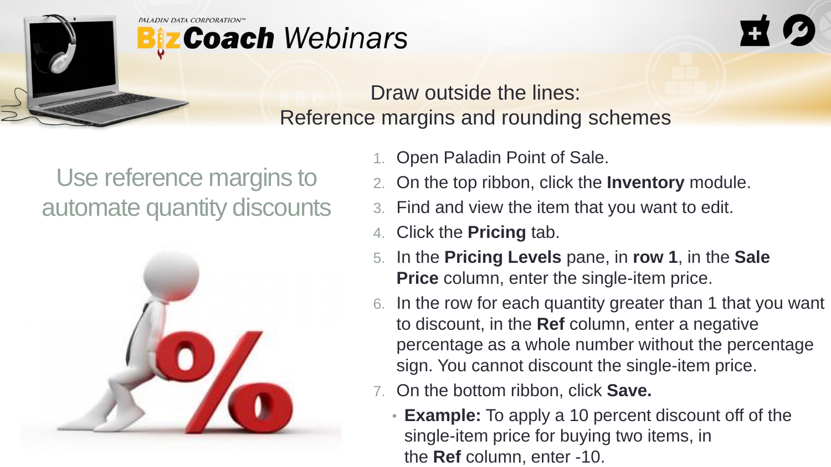# **z Coach** Webinars

#### Draw outside the lines: Reference margins and rounding schemes

### Use reference margins to automate quantity discounts



- 1. Open Paladin Point of Sale.
- 2. On the top ribbon, click the **Inventory** module.
- 3. Find and view the item that you want to edit.
- 4. Click the **Pricing** tab.
- 5. In the **Pricing Levels** pane, in **row 1**, in the **Sale Price** column, enter the single-item price.
- 6. In the row for each quantity greater than 1 that you want to discount, in the **Ref** column, enter a negative percentage as a whole number without the percentage sign. You cannot discount the single-item price.
- 7. On the bottom ribbon, click **Save.**
	- **Example:** To apply a 10 percent discount off of the single-item price for buying two items, in the **Ref** column, enter -10.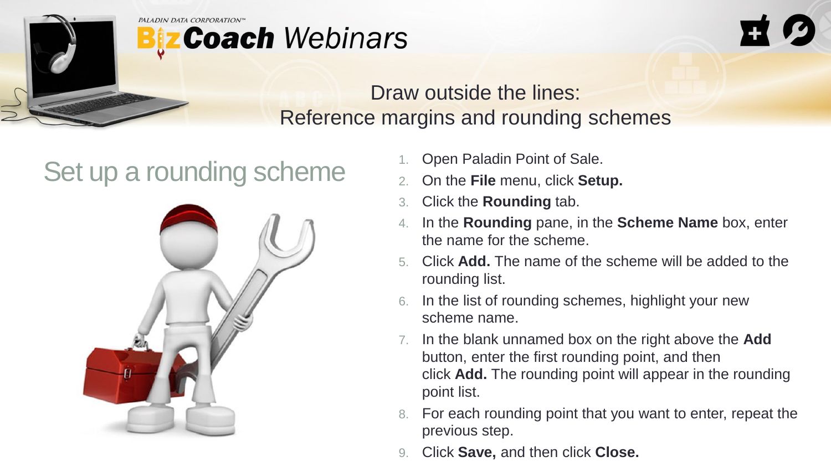



## Set up a rounding scheme<br>  $\frac{1}{2}$  On the File menu, click Setu



- 
- 2. On the **File** menu, click **Setup.**
- 3. Click the **Rounding** tab.
- 4. In the **Rounding** pane, in the **Scheme Name** box, enter the name for the scheme.
- 5. Click **Add.** The name of the scheme will be added to the rounding list.
- In the list of rounding schemes, highlight your new scheme name.
- 7. In the blank unnamed box on the right above the **Add** button, enter the first rounding point, and then click **Add.** The rounding point will appear in the rounding point list.
- For each rounding point that you want to enter, repeat the previous step.
- 9. Click **Save,** and then click **Close.**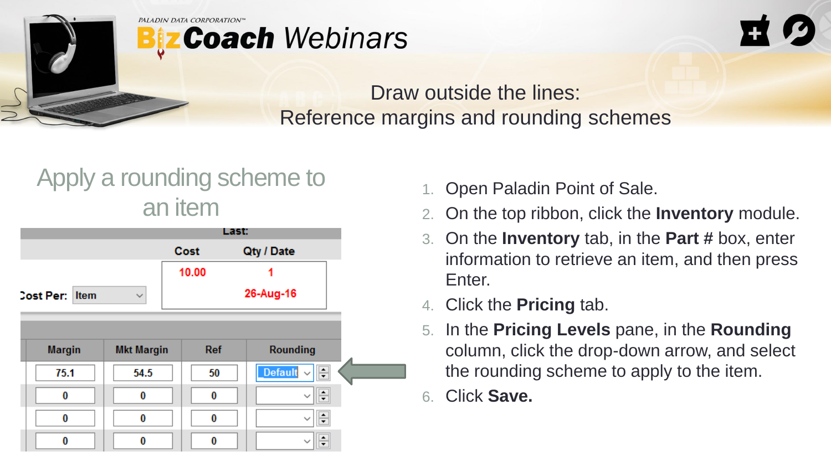



#### Apply a rounding scheme to an item



- 1. Open Paladin Point of Sale.
- 2. On the top ribbon, click the **Inventory** module.
- 3. On the **Inventory** tab, in the **Part #** box, enter information to retrieve an item, and then press Enter.
- 4. Click the **Pricing** tab.
- 5. In the **Pricing Levels** pane, in the **Rounding** column, click the drop-down arrow, and select the rounding scheme to apply to the item.
- 6. Click **Save.**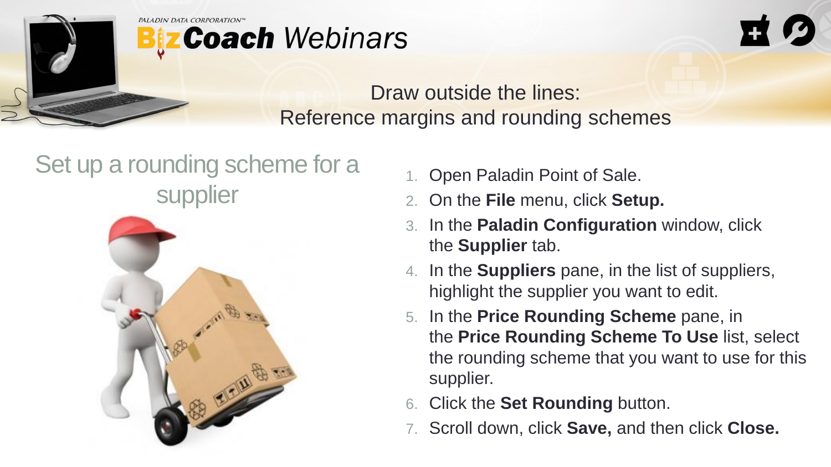



### Set up a rounding scheme for a **supplier**



- 1. Open Paladin Point of Sale.
- 2. On the **File** menu, click **Setup.**
- 3. In the **Paladin Configuration** window, click the **Supplier** tab.
- 4. In the **Suppliers** pane, in the list of suppliers, highlight the supplier you want to edit.
- 5. In the **Price Rounding Scheme** pane, in the **Price Rounding Scheme To Use** list, select the rounding scheme that you want to use for this supplier.
- 6. Click the **Set Rounding** button.
- 7. Scroll down, click **Save,** and then click **Close.**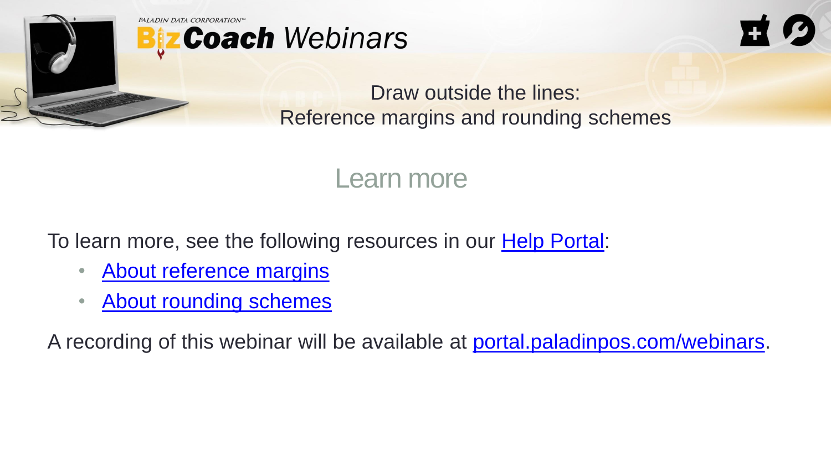



Learn more

To learn more, see the following resources in our **Help Portal:** 

- [About reference margins](https://portal.paladinpos.com/knowledge-base/about-reference-margins/)
- [About rounding schemes](https://portal.paladinpos.com/knowledge-base/about-reference-margins/)

A recording of this webinar will be available at [portal.paladinpos.com/webinars.](https://portal.paladinpos.com/webinars)